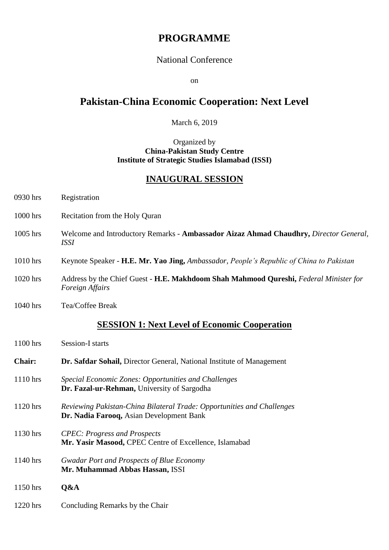# **PROGRAMME**

#### National Conference

on

# **Pakistan-China Economic Cooperation: Next Level**

March 6, 2019

Organized by **China-Pakistan Study Centre Institute of Strategic Studies Islamabad (ISSI)**

#### **INAUGURAL SESSION**

| 0930 hrs   | Registration                   |
|------------|--------------------------------|
| $1000$ hrs | Recitation from the Holy Quran |

- 1005 hrs Welcome and Introductory Remarks **Ambassador Aizaz Ahmad Chaudhry,** *Director General, ISSI*
- 1010 hrs Keynote Speaker **H.E. Mr. Yao Jing,** *Ambassador, People's Republic of China to Pakistan*
- 1020 hrs Address by the Chief Guest **H.E. Makhdoom Shah Mahmood Qureshi,** *Federal Minister for Foreign Affairs*
- 1040 hrs Tea/Coffee Break

## **SESSION 1: Next Level of Economic Cooperation**

| $1100$ hrs    | <b>Session-I starts</b>                                                                                            |
|---------------|--------------------------------------------------------------------------------------------------------------------|
| <b>Chair:</b> | Dr. Safdar Sohail, Director General, National Institute of Management                                              |
| $1110$ hrs    | Special Economic Zones: Opportunities and Challenges<br>Dr. Fazal-ur-Rehman, University of Sargodha                |
| $1120$ hrs    | Reviewing Pakistan-China Bilateral Trade: Opportunities and Challenges<br>Dr. Nadia Farooq, Asian Development Bank |
| 1130 hrs      | <b>CPEC</b> : Progress and Prospects<br>Mr. Yasir Masood, CPEC Centre of Excellence, Islamabad                     |
| 1140 hrs      | <b>Gwadar Port and Prospects of Blue Economy</b><br>Mr. Muhammad Abbas Hassan, ISSI                                |
| 1150 hrs      | Q&A                                                                                                                |
| 1220 hrs      | Concluding Remarks by the Chair                                                                                    |